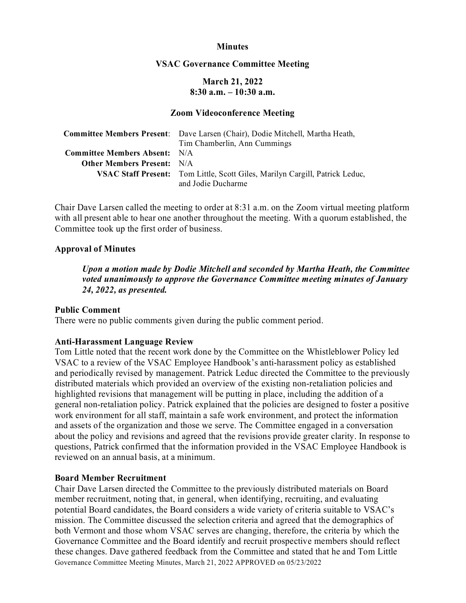## **Minutes**

### **VSAC Governance Committee Meeting**

# **March 21, 2022 8:30 a.m. – 10:30 a.m.**

#### **Zoom Videoconference Meeting**

|                                      | <b>Committee Members Present:</b> Dave Larsen (Chair), Dodie Mitchell, Martha Heath,               |
|--------------------------------------|----------------------------------------------------------------------------------------------------|
|                                      | Tim Chamberlin, Ann Cummings                                                                       |
| <b>Committee Members Absent:</b> N/A |                                                                                                    |
| <b>Other Members Present:</b> N/A    |                                                                                                    |
|                                      | VSAC Staff Present: Tom Little, Scott Giles, Marilyn Cargill, Patrick Leduc,<br>and Jodie Ducharme |

Chair Dave Larsen called the meeting to order at 8:31 a.m. on the Zoom virtual meeting platform with all present able to hear one another throughout the meeting. With a quorum established, the Committee took up the first order of business.

## **Approval of Minutes**

*Upon a motion made by Dodie Mitchell and seconded by Martha Heath, the Committee voted unanimously to approve the Governance Committee meeting minutes of January 24, 2022, as presented.* 

## **Public Comment**

There were no public comments given during the public comment period.

## **Anti-Harassment Language Review**

Tom Little noted that the recent work done by the Committee on the Whistleblower Policy led VSAC to a review of the VSAC Employee Handbook's anti-harassment policy as established and periodically revised by management. Patrick Leduc directed the Committee to the previously distributed materials which provided an overview of the existing non-retaliation policies and highlighted revisions that management will be putting in place, including the addition of a general non-retaliation policy. Patrick explained that the policies are designed to foster a positive work environment for all staff, maintain a safe work environment, and protect the information and assets of the organization and those we serve. The Committee engaged in a conversation about the policy and revisions and agreed that the revisions provide greater clarity. In response to questions, Patrick confirmed that the information provided in the VSAC Employee Handbook is reviewed on an annual basis, at a minimum.

### **Board Member Recruitment**

Governance Committee Meeting Minutes, March 21, 2022 APPROVED on 05/23/2022 Chair Dave Larsen directed the Committee to the previously distributed materials on Board member recruitment, noting that, in general, when identifying, recruiting, and evaluating potential Board candidates, the Board considers a wide variety of criteria suitable to VSAC's mission. The Committee discussed the selection criteria and agreed that the demographics of both Vermont and those whom VSAC serves are changing, therefore, the criteria by which the Governance Committee and the Board identify and recruit prospective members should reflect these changes. Dave gathered feedback from the Committee and stated that he and Tom Little